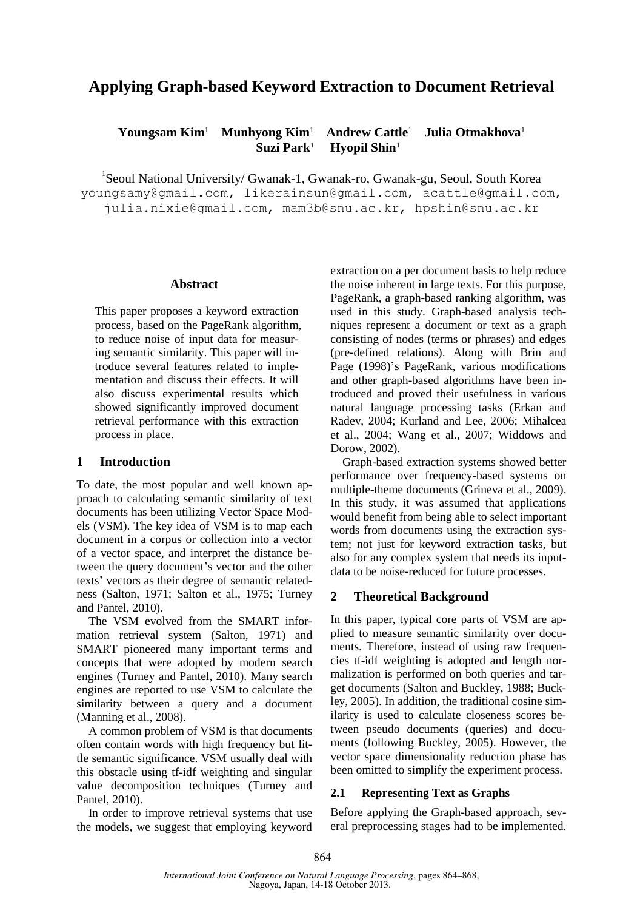# **Applying Graph-based Keyword Extraction to Document Retrieval**

#### **Youngsam Kim**<sup>1</sup>  **Munhyong Kim**<sup>1</sup>  **Andrew Cattle**<sup>1</sup>  **Julia Otmakhova**<sup>1</sup>  **Suzi Park**<sup>1</sup>  **Hyopil Shin**<sup>1</sup>

<sup>1</sup>Seoul National University/ Gwanak-1, Gwanak-ro, Gwanak-gu, Seoul, South Korea youngsamy@gmail.com, likerainsun@gmail.com, acattle@gmail.com, julia.nixie@gmail.com, mam3b@snu.ac.kr, hpshin@snu.ac.kr

#### **Abstract**

This paper proposes a keyword extraction process, based on the PageRank algorithm, to reduce noise of input data for measuring semantic similarity. This paper will introduce several features related to implementation and discuss their effects. It will also discuss experimental results which showed significantly improved document retrieval performance with this extraction process in place.

# **1 Introduction**

To date, the most popular and well known approach to calculating semantic similarity of text documents has been utilizing Vector Space Models (VSM). The key idea of VSM is to map each document in a corpus or collection into a vector of a vector space, and interpret the distance between the query document's vector and the other texts' vectors as their degree of semantic relatedness (Salton, 1971; Salton et al., 1975; Turney and Pantel, 2010).

The VSM evolved from the SMART information retrieval system (Salton, 1971) and SMART pioneered many important terms and concepts that were adopted by modern search engines (Turney and Pantel, 2010). Many search engines are reported to use VSM to calculate the similarity between a query and a document (Manning et al., 2008).

A common problem of VSM is that documents often contain words with high frequency but little semantic significance. VSM usually deal with this obstacle using tf-idf weighting and singular value decomposition techniques (Turney and Pantel, 2010).

In order to improve retrieval systems that use the models, we suggest that employing keyword extraction on a per document basis to help reduce the noise inherent in large texts. For this purpose, PageRank, a graph-based ranking algorithm, was used in this study. Graph-based analysis techniques represent a document or text as a graph consisting of nodes (terms or phrases) and edges (pre-defined relations). Along with Brin and Page (1998)'s PageRank, various modifications and other graph-based algorithms have been introduced and proved their usefulness in various natural language processing tasks (Erkan and Radev, 2004; Kurland and Lee, 2006; Mihalcea et al., 2004; Wang et al., 2007; Widdows and Dorow, 2002).

Graph-based extraction systems showed better performance over frequency-based systems on multiple-theme documents (Grineva et al., 2009). In this study, it was assumed that applications would benefit from being able to select important words from documents using the extraction system; not just for keyword extraction tasks, but also for any complex system that needs its inputdata to be noise-reduced for future processes.

# **2 Theoretical Background**

In this paper, typical core parts of VSM are applied to measure semantic similarity over documents. Therefore, instead of using raw frequencies tf-idf weighting is adopted and length normalization is performed on both queries and target documents (Salton and Buckley, 1988; Buckley, 2005). In addition, the traditional cosine similarity is used to calculate closeness scores between pseudo documents (queries) and documents (following Buckley, 2005). However, the vector space dimensionality reduction phase has been omitted to simplify the experiment process.

# **2.1 Representing Text as Graphs**

Before applying the Graph-based approach, several preprocessing stages had to be implemented.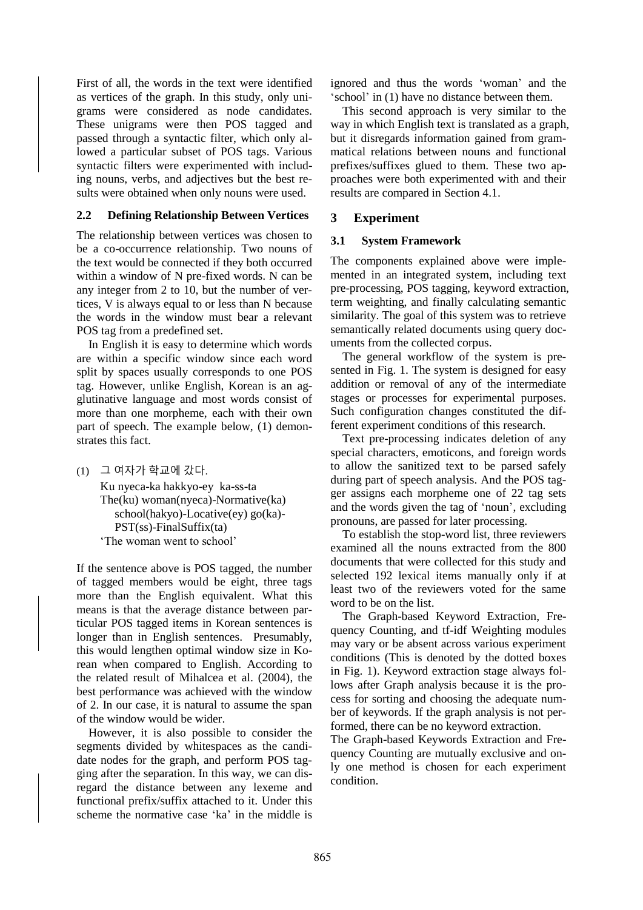First of all, the words in the text were identified as vertices of the graph. In this study, only unigrams were considered as node candidates. These unigrams were then POS tagged and passed through a syntactic filter, which only allowed a particular subset of POS tags. Various syntactic filters were experimented with including nouns, verbs, and adjectives but the best results were obtained when only nouns were used.

## **2.2 Defining Relationship Between Vertices**

The relationship between vertices was chosen to be a co-occurrence relationship. Two nouns of the text would be connected if they both occurred within a window of N pre-fixed words. N can be any integer from 2 to 10, but the number of vertices, V is always equal to or less than N because the words in the window must bear a relevant POS tag from a predefined set.

In English it is easy to determine which words are within a specific window since each word split by spaces usually corresponds to one POS tag. However, unlike English, Korean is an agglutinative language and most words consist of more than one morpheme, each with their own part of speech. The example below, (1) demonstrates this fact.

(1) 그 여자가 학교에 갔다.

Ku nyeca-ka hakkyo-ey ka-ss-ta The(ku) woman(nyeca)-Normative(ka) school(hakyo)-Locative(ey) go(ka)- PST(ss)-FinalSuffix(ta) 'The woman went to school'

If the sentence above is POS tagged, the number of tagged members would be eight, three tags more than the English equivalent. What this means is that the average distance between particular POS tagged items in Korean sentences is longer than in English sentences. Presumably, this would lengthen optimal window size in Korean when compared to English. According to the related result of Mihalcea et al. (2004), the best performance was achieved with the window of 2. In our case, it is natural to assume the span of the window would be wider.

However, it is also possible to consider the segments divided by whitespaces as the candidate nodes for the graph, and perform POS tagging after the separation. In this way, we can disregard the distance between any lexeme and functional prefix/suffix attached to it. Under this scheme the normative case 'ka' in the middle is

ignored and thus the words 'woman' and the 'school' in (1) have no distance between them.

This second approach is very similar to the way in which English text is translated as a graph, but it disregards information gained from grammatical relations between nouns and functional prefixes/suffixes glued to them. These two approaches were both experimented with and their results are compared in Section 4.1.

# **3 Experiment**

# **3.1 System Framework**

The components explained above were implemented in an integrated system, including text pre-processing, POS tagging, keyword extraction, term weighting, and finally calculating semantic similarity. The goal of this system was to retrieve semantically related documents using query documents from the collected corpus.

The general workflow of the system is presented in Fig. 1. The system is designed for easy addition or removal of any of the intermediate stages or processes for experimental purposes. Such configuration changes constituted the different experiment conditions of this research.

Text pre-processing indicates deletion of any special characters, emoticons, and foreign words to allow the sanitized text to be parsed safely during part of speech analysis. And the POS tagger assigns each morpheme one of 22 tag sets and the words given the tag of 'noun', excluding pronouns, are passed for later processing.

To establish the stop-word list, three reviewers examined all the nouns extracted from the 800 documents that were collected for this study and selected 192 lexical items manually only if at least two of the reviewers voted for the same word to be on the list.

The Graph-based Keyword Extraction, Frequency Counting, and tf-idf Weighting modules may vary or be absent across various experiment conditions (This is denoted by the dotted boxes in Fig. 1). Keyword extraction stage always follows after Graph analysis because it is the process for sorting and choosing the adequate number of keywords. If the graph analysis is not performed, there can be no keyword extraction.

The Graph-based Keywords Extraction and Frequency Counting are mutually exclusive and only one method is chosen for each experiment condition.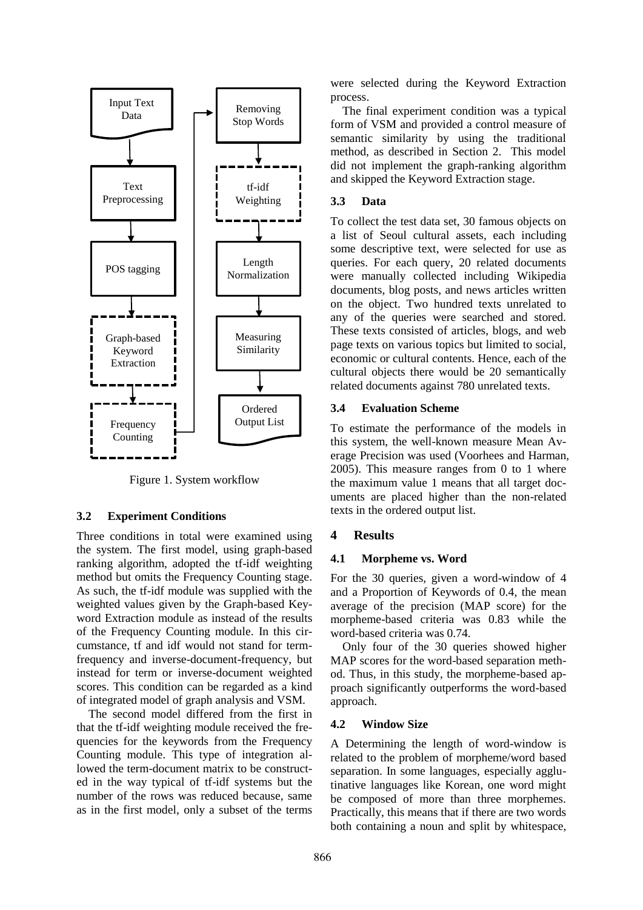

Figure 1. System workflow

#### **3.2 Experiment Conditions**

Three conditions in total were examined using the system. The first model, using graph-based ranking algorithm, adopted the tf-idf weighting method but omits the Frequency Counting stage. As such, the tf-idf module was supplied with the weighted values given by the Graph-based Keyword Extraction module as instead of the results of the Frequency Counting module. In this circumstance, tf and idf would not stand for termfrequency and inverse-document-frequency, but instead for term or inverse-document weighted scores. This condition can be regarded as a kind of integrated model of graph analysis and VSM.

The second model differed from the first in that the tf-idf weighting module received the frequencies for the keywords from the Frequency Counting module. This type of integration allowed the term-document matrix to be constructed in the way typical of tf-idf systems but the number of the rows was reduced because, same as in the first model, only a subset of the terms

were selected during the Keyword Extraction process.

The final experiment condition was a typical form of VSM and provided a control measure of semantic similarity by using the traditional method, as described in Section 2. This model did not implement the graph-ranking algorithm and skipped the Keyword Extraction stage.

# **3.3 Data**

To collect the test data set, 30 famous objects on a list of Seoul cultural assets, each including some descriptive text, were selected for use as queries. For each query, 20 related documents were manually collected including Wikipedia documents, blog posts, and news articles written on the object. Two hundred texts unrelated to any of the queries were searched and stored. These texts consisted of articles, blogs, and web page texts on various topics but limited to social, economic or cultural contents. Hence, each of the cultural objects there would be 20 semantically related documents against 780 unrelated texts.

### **3.4 Evaluation Scheme**

To estimate the performance of the models in this system, the well-known measure Mean Average Precision was used (Voorhees and Harman, 2005). This measure ranges from 0 to 1 where the maximum value 1 means that all target documents are placed higher than the non-related texts in the ordered output list.

# **4 Results**

#### **4.1 Morpheme vs. Word**

For the 30 queries, given a word-window of 4 and a Proportion of Keywords of 0.4, the mean average of the precision (MAP score) for the morpheme-based criteria was 0.83 while the word-based criteria was 0.74.

Only four of the 30 queries showed higher MAP scores for the word-based separation method. Thus, in this study, the morpheme-based approach significantly outperforms the word-based approach.

#### **4.2 Window Size**

A Determining the length of word-window is related to the problem of morpheme/word based separation. In some languages, especially agglutinative languages like Korean, one word might be composed of more than three morphemes. Practically, this means that if there are two words both containing a noun and split by whitespace,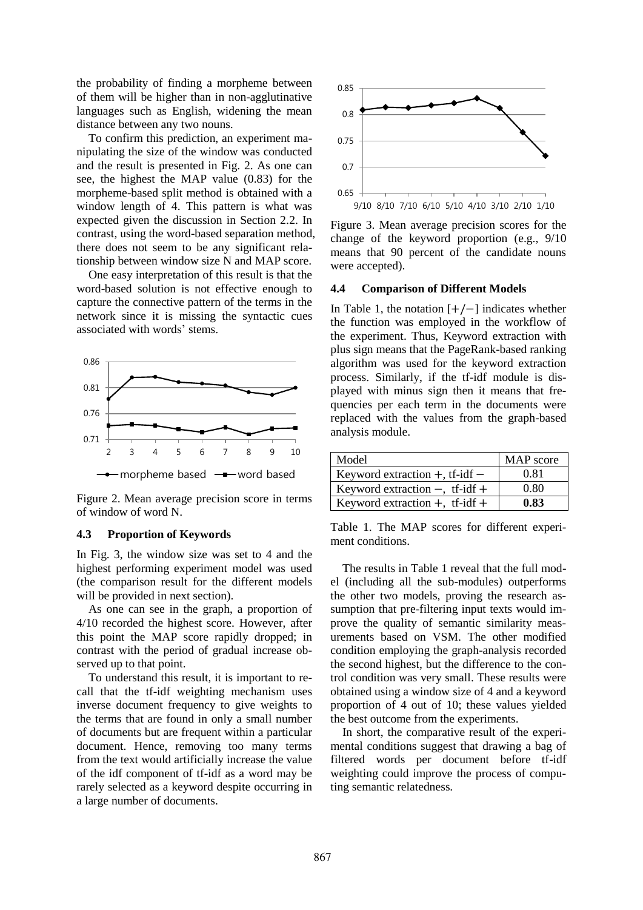the probability of finding a morpheme between of them will be higher than in non-agglutinative languages such as English, widening the mean distance between any two nouns.

To confirm this prediction, an experiment manipulating the size of the window was conducted and the result is presented in Fig. 2. As one can see, the highest the MAP value (0.83) for the morpheme-based split method is obtained with a window length of 4. This pattern is what was expected given the discussion in Section 2.2. In contrast, using the word-based separation method, there does not seem to be any significant relationship between window size N and MAP score.

One easy interpretation of this result is that the word-based solution is not effective enough to capture the connective pattern of the terms in the network since it is missing the syntactic cues associated with words' stems.



Figure 2. Mean average precision score in terms of window of word N.

#### **4.3 Proportion of Keywords**

In Fig. 3, the window size was set to 4 and the highest performing experiment model was used (the comparison result for the different models will be provided in next section).

As one can see in the graph, a proportion of 4/10 recorded the highest score. However, after this point the MAP score rapidly dropped; in contrast with the period of gradual increase observed up to that point.

To understand this result, it is important to recall that the tf-idf weighting mechanism uses inverse document frequency to give weights to the terms that are found in only a small number of documents but are frequent within a particular document. Hence, removing too many terms from the text would artificially increase the value of the idf component of tf-idf as a word may be rarely selected as a keyword despite occurring in a large number of documents.



Figure 3. Mean average precision scores for the change of the keyword proportion (e.g., 9/10 means that 90 percent of the candidate nouns were accepted).

#### **4.4 Comparison of Different Models**

In Table 1, the notation  $[+/-]$  indicates whether the function was employed in the workflow of the experiment. Thus, Keyword extraction with plus sign means that the PageRank-based ranking algorithm was used for the keyword extraction process. Similarly, if the tf-idf module is displayed with minus sign then it means that frequencies per each term in the documents were replaced with the values from the graph-based analysis module.

| Model                               | MAP score |
|-------------------------------------|-----------|
| Keyword extraction $+$ , tf-idf $-$ | 0.81      |
| Keyword extraction $-$ , tf-idf +   | 0.80      |
| Keyword extraction $+$ , tf-idf $+$ | 0.83      |

Table 1. The MAP scores for different experiment conditions.

The results in Table 1 reveal that the full model (including all the sub-modules) outperforms the other two models, proving the research assumption that pre-filtering input texts would improve the quality of semantic similarity measurements based on VSM. The other modified condition employing the graph-analysis recorded the second highest, but the difference to the control condition was very small. These results were obtained using a window size of 4 and a keyword proportion of 4 out of 10; these values yielded the best outcome from the experiments.

In short, the comparative result of the experimental conditions suggest that drawing a bag of filtered words per document before tf-idf weighting could improve the process of computing semantic relatedness.